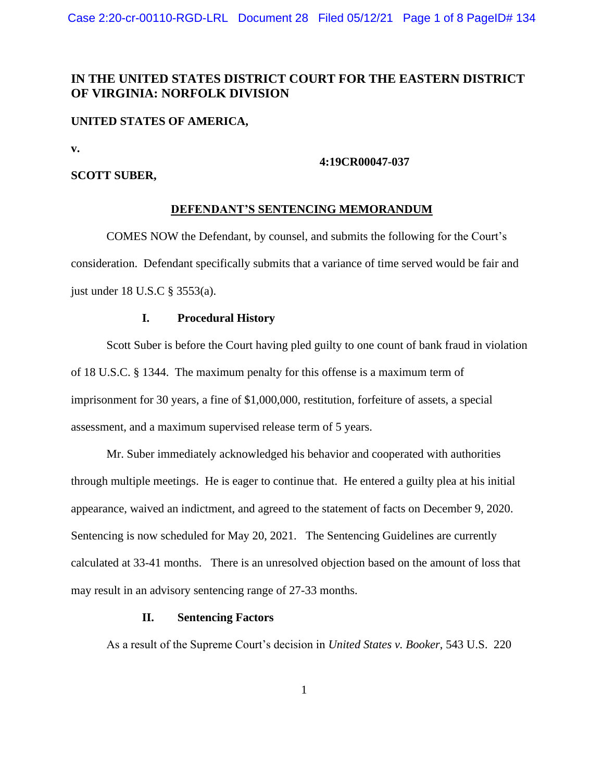# **IN THE UNITED STATES DISTRICT COURT FOR THE EASTERN DISTRICT OF VIRGINIA: NORFOLK DIVISION**

### **UNITED STATES OF AMERICA,**

**v.**

### **4:19CR00047-037**

### **SCOTT SUBER,**

### **DEFENDANT'S SENTENCING MEMORANDUM**

COMES NOW the Defendant, by counsel, and submits the following for the Court's consideration. Defendant specifically submits that a variance of time served would be fair and just under 18 U.S.C § 3553(a).

### **I. Procedural History**

Scott Suber is before the Court having pled guilty to one count of bank fraud in violation of 18 U.S.C. § 1344. The maximum penalty for this offense is a maximum term of imprisonment for 30 years, a fine of \$1,000,000, restitution, forfeiture of assets, a special assessment, and a maximum supervised release term of 5 years.

Mr. Suber immediately acknowledged his behavior and cooperated with authorities through multiple meetings. He is eager to continue that. He entered a guilty plea at his initial appearance, waived an indictment, and agreed to the statement of facts on December 9, 2020. Sentencing is now scheduled for May 20, 2021. The Sentencing Guidelines are currently calculated at 33-41 months. There is an unresolved objection based on the amount of loss that may result in an advisory sentencing range of 27-33 months.

### **II. Sentencing Factors**

As a result of the Supreme Court's decision in *United States v. Booker*, 543 U.S. 220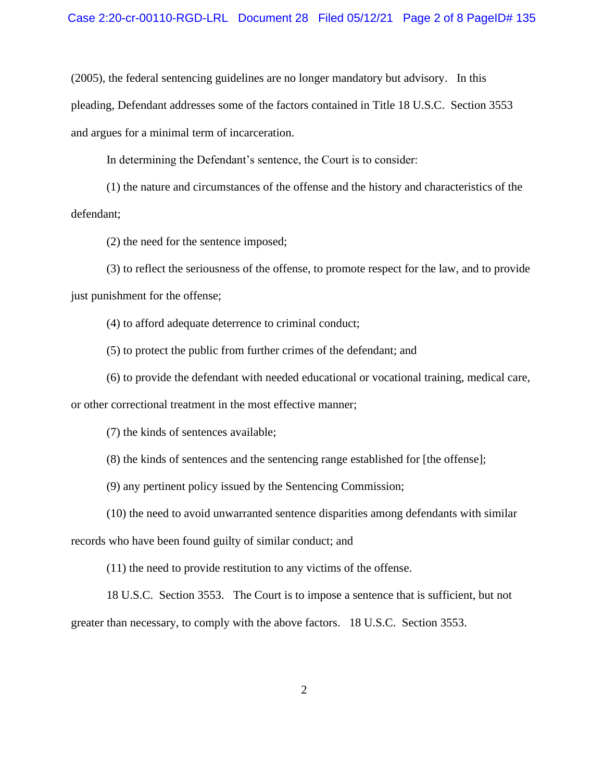(2005), the federal sentencing guidelines are no longer mandatory but advisory. In this pleading, Defendant addresses some of the factors contained in Title 18 U.S.C. Section 3553 and argues for a minimal term of incarceration.

In determining the Defendant's sentence, the Court is to consider:

(1) the nature and circumstances of the offense and the history and characteristics of the defendant;

(2) the need for the sentence imposed;

(3) to reflect the seriousness of the offense, to promote respect for the law, and to provide just punishment for the offense;

(4) to afford adequate deterrence to criminal conduct;

(5) to protect the public from further crimes of the defendant; and

(6) to provide the defendant with needed educational or vocational training, medical care,

or other correctional treatment in the most effective manner;

(7) the kinds of sentences available;

(8) the kinds of sentences and the sentencing range established for [the offense];

(9) any pertinent policy issued by the Sentencing Commission;

(10) the need to avoid unwarranted sentence disparities among defendants with similar

records who have been found guilty of similar conduct; and

(11) the need to provide restitution to any victims of the offense.

18 U.S.C. Section 3553. The Court is to impose a sentence that is sufficient, but not greater than necessary, to comply with the above factors. 18 U.S.C. Section 3553.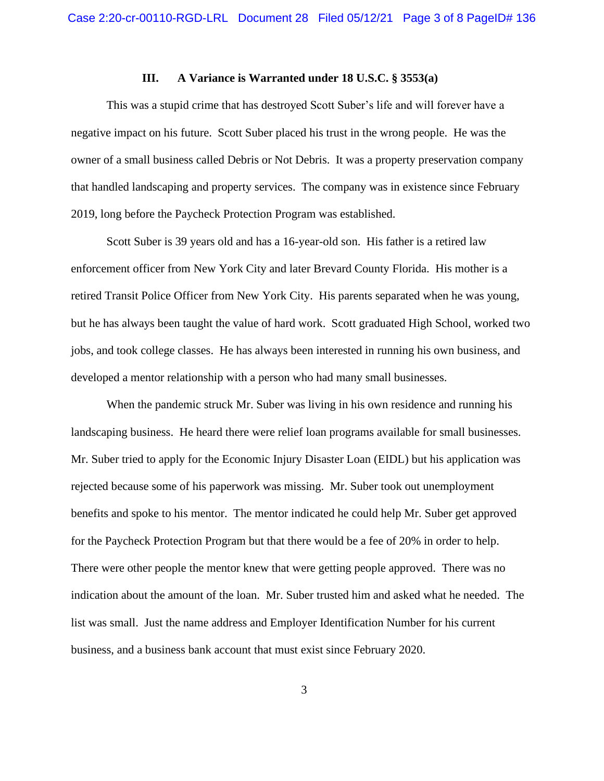### **III. A Variance is Warranted under 18 U.S.C. § 3553(a)**

This was a stupid crime that has destroyed Scott Suber's life and will forever have a negative impact on his future. Scott Suber placed his trust in the wrong people. He was the owner of a small business called Debris or Not Debris. It was a property preservation company that handled landscaping and property services. The company was in existence since February 2019, long before the Paycheck Protection Program was established.

Scott Suber is 39 years old and has a 16-year-old son. His father is a retired law enforcement officer from New York City and later Brevard County Florida. His mother is a retired Transit Police Officer from New York City. His parents separated when he was young, but he has always been taught the value of hard work. Scott graduated High School, worked two jobs, and took college classes. He has always been interested in running his own business, and developed a mentor relationship with a person who had many small businesses.

When the pandemic struck Mr. Suber was living in his own residence and running his landscaping business. He heard there were relief loan programs available for small businesses. Mr. Suber tried to apply for the Economic Injury Disaster Loan (EIDL) but his application was rejected because some of his paperwork was missing. Mr. Suber took out unemployment benefits and spoke to his mentor. The mentor indicated he could help Mr. Suber get approved for the Paycheck Protection Program but that there would be a fee of 20% in order to help. There were other people the mentor knew that were getting people approved. There was no indication about the amount of the loan. Mr. Suber trusted him and asked what he needed. The list was small. Just the name address and Employer Identification Number for his current business, and a business bank account that must exist since February 2020.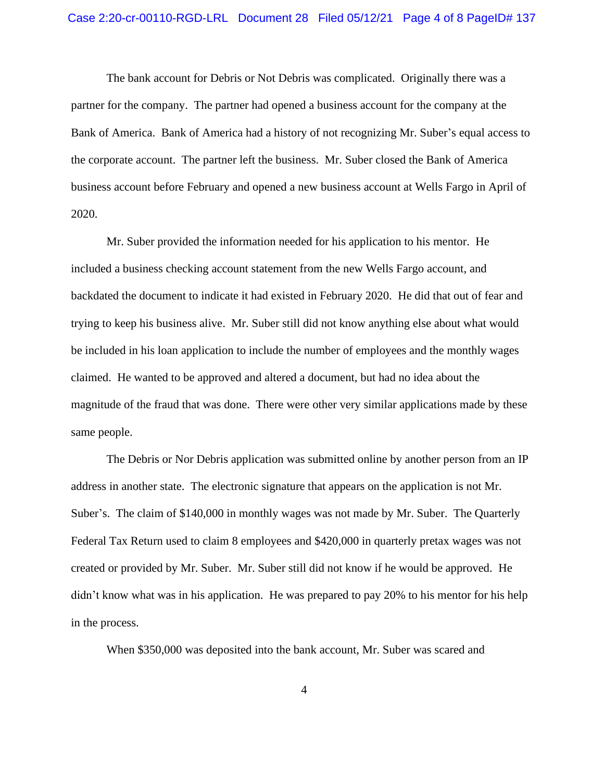The bank account for Debris or Not Debris was complicated. Originally there was a partner for the company. The partner had opened a business account for the company at the Bank of America. Bank of America had a history of not recognizing Mr. Suber's equal access to the corporate account. The partner left the business. Mr. Suber closed the Bank of America business account before February and opened a new business account at Wells Fargo in April of 2020.

Mr. Suber provided the information needed for his application to his mentor. He included a business checking account statement from the new Wells Fargo account, and backdated the document to indicate it had existed in February 2020. He did that out of fear and trying to keep his business alive. Mr. Suber still did not know anything else about what would be included in his loan application to include the number of employees and the monthly wages claimed. He wanted to be approved and altered a document, but had no idea about the magnitude of the fraud that was done. There were other very similar applications made by these same people.

The Debris or Nor Debris application was submitted online by another person from an IP address in another state. The electronic signature that appears on the application is not Mr. Suber's. The claim of \$140,000 in monthly wages was not made by Mr. Suber. The Quarterly Federal Tax Return used to claim 8 employees and \$420,000 in quarterly pretax wages was not created or provided by Mr. Suber. Mr. Suber still did not know if he would be approved. He didn't know what was in his application. He was prepared to pay 20% to his mentor for his help in the process.

When \$350,000 was deposited into the bank account, Mr. Suber was scared and

4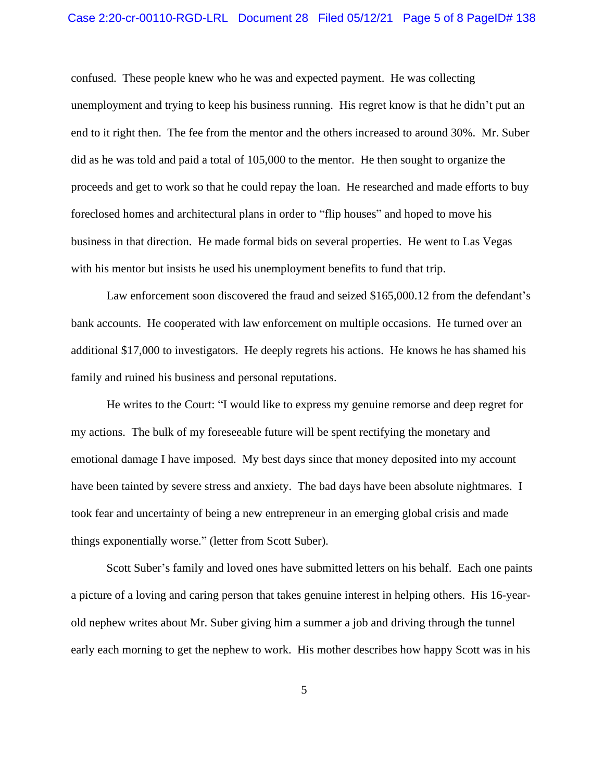### Case 2:20-cr-00110-RGD-LRL Document 28 Filed 05/12/21 Page 5 of 8 PageID# 138

confused. These people knew who he was and expected payment. He was collecting unemployment and trying to keep his business running. His regret know is that he didn't put an end to it right then. The fee from the mentor and the others increased to around 30%. Mr. Suber did as he was told and paid a total of 105,000 to the mentor. He then sought to organize the proceeds and get to work so that he could repay the loan. He researched and made efforts to buy foreclosed homes and architectural plans in order to "flip houses" and hoped to move his business in that direction. He made formal bids on several properties. He went to Las Vegas with his mentor but insists he used his unemployment benefits to fund that trip.

Law enforcement soon discovered the fraud and seized \$165,000.12 from the defendant's bank accounts. He cooperated with law enforcement on multiple occasions. He turned over an additional \$17,000 to investigators. He deeply regrets his actions. He knows he has shamed his family and ruined his business and personal reputations.

He writes to the Court: "I would like to express my genuine remorse and deep regret for my actions. The bulk of my foreseeable future will be spent rectifying the monetary and emotional damage I have imposed. My best days since that money deposited into my account have been tainted by severe stress and anxiety. The bad days have been absolute nightmares. I took fear and uncertainty of being a new entrepreneur in an emerging global crisis and made things exponentially worse." (letter from Scott Suber).

Scott Suber's family and loved ones have submitted letters on his behalf. Each one paints a picture of a loving and caring person that takes genuine interest in helping others. His 16-yearold nephew writes about Mr. Suber giving him a summer a job and driving through the tunnel early each morning to get the nephew to work. His mother describes how happy Scott was in his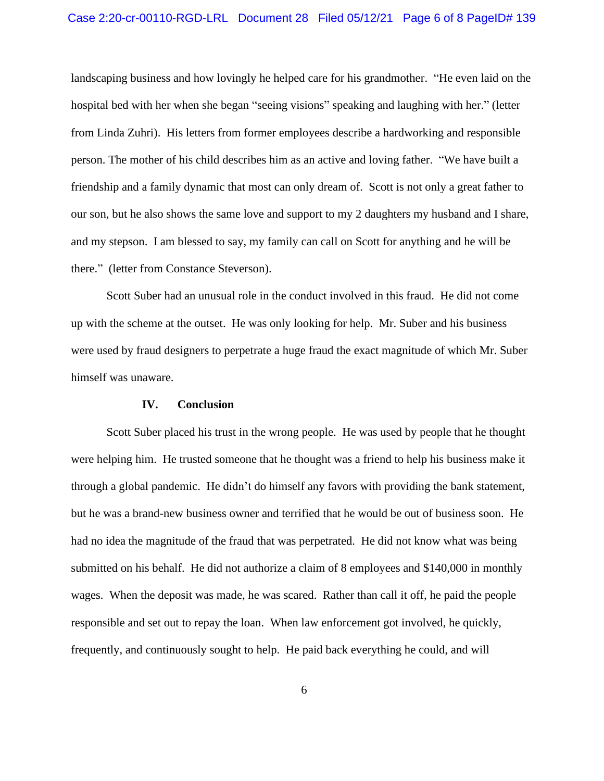### Case 2:20-cr-00110-RGD-LRL Document 28 Filed 05/12/21 Page 6 of 8 PageID# 139

landscaping business and how lovingly he helped care for his grandmother. "He even laid on the hospital bed with her when she began "seeing visions" speaking and laughing with her." (letter from Linda Zuhri). His letters from former employees describe a hardworking and responsible person. The mother of his child describes him as an active and loving father. "We have built a friendship and a family dynamic that most can only dream of. Scott is not only a great father to our son, but he also shows the same love and support to my 2 daughters my husband and I share, and my stepson. I am blessed to say, my family can call on Scott for anything and he will be there." (letter from Constance Steverson).

Scott Suber had an unusual role in the conduct involved in this fraud. He did not come up with the scheme at the outset. He was only looking for help. Mr. Suber and his business were used by fraud designers to perpetrate a huge fraud the exact magnitude of which Mr. Suber himself was unaware.

### **IV. Conclusion**

Scott Suber placed his trust in the wrong people. He was used by people that he thought were helping him. He trusted someone that he thought was a friend to help his business make it through a global pandemic. He didn't do himself any favors with providing the bank statement, but he was a brand-new business owner and terrified that he would be out of business soon. He had no idea the magnitude of the fraud that was perpetrated. He did not know what was being submitted on his behalf. He did not authorize a claim of 8 employees and \$140,000 in monthly wages. When the deposit was made, he was scared. Rather than call it off, he paid the people responsible and set out to repay the loan. When law enforcement got involved, he quickly, frequently, and continuously sought to help. He paid back everything he could, and will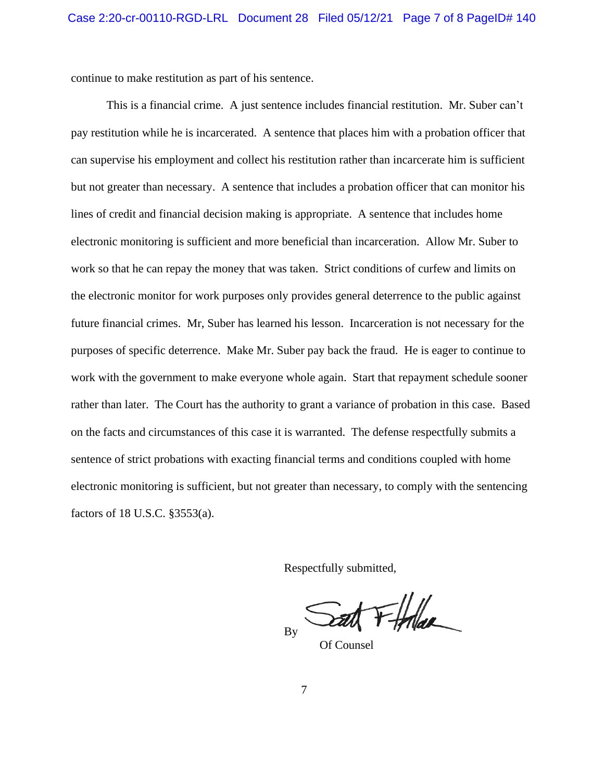continue to make restitution as part of his sentence.

This is a financial crime. A just sentence includes financial restitution. Mr. Suber can't pay restitution while he is incarcerated. A sentence that places him with a probation officer that can supervise his employment and collect his restitution rather than incarcerate him is sufficient but not greater than necessary. A sentence that includes a probation officer that can monitor his lines of credit and financial decision making is appropriate. A sentence that includes home electronic monitoring is sufficient and more beneficial than incarceration. Allow Mr. Suber to work so that he can repay the money that was taken. Strict conditions of curfew and limits on the electronic monitor for work purposes only provides general deterrence to the public against future financial crimes. Mr, Suber has learned his lesson. Incarceration is not necessary for the purposes of specific deterrence. Make Mr. Suber pay back the fraud. He is eager to continue to work with the government to make everyone whole again. Start that repayment schedule sooner rather than later. The Court has the authority to grant a variance of probation in this case. Based on the facts and circumstances of this case it is warranted. The defense respectfully submits a sentence of strict probations with exacting financial terms and conditions coupled with home electronic monitoring is sufficient, but not greater than necessary, to comply with the sentencing factors of 18 U.S.C. §3553(a).

Respectfully submitted,

at Ffolge By

Of Counsel